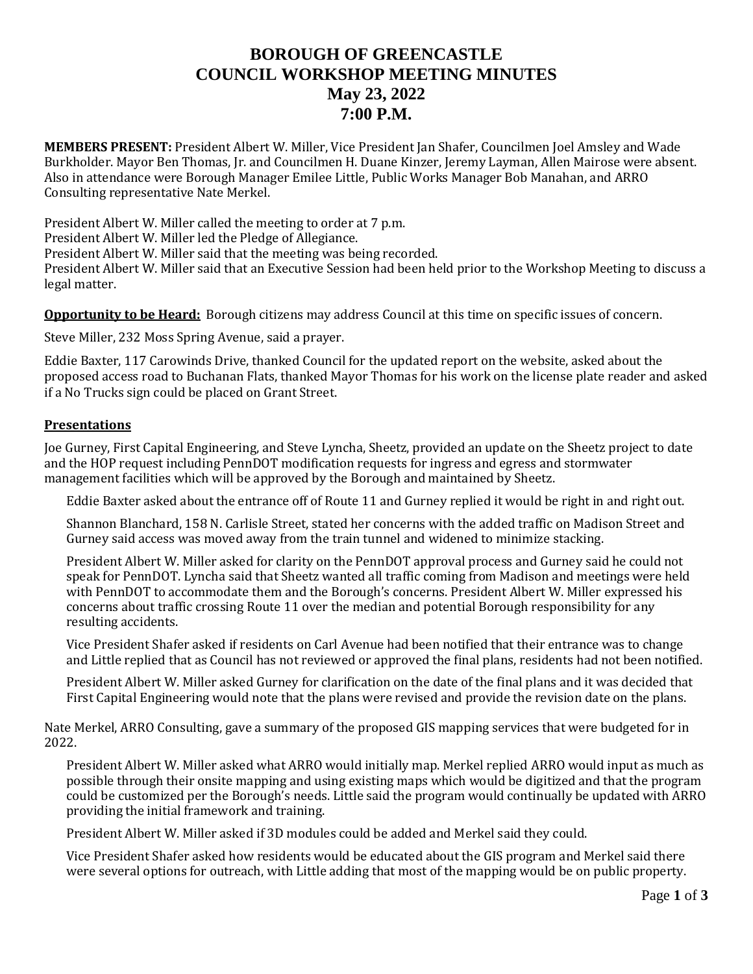# **BOROUGH OF GREENCASTLE COUNCIL WORKSHOP MEETING MINUTES May 23, 2022 7:00 P.M.**

**MEMBERS PRESENT:** President Albert W. Miller, Vice President Jan Shafer, Councilmen Joel Amsley and Wade Burkholder. Mayor Ben Thomas, Jr. and Councilmen H. Duane Kinzer, Jeremy Layman, Allen Mairose were absent. Also in attendance were Borough Manager Emilee Little, Public Works Manager Bob Manahan, and ARRO Consulting representative Nate Merkel.

President Albert W. Miller called the meeting to order at 7 p.m.

President Albert W. Miller led the Pledge of Allegiance.

President Albert W. Miller said that the meeting was being recorded.

President Albert W. Miller said that an Executive Session had been held prior to the Workshop Meeting to discuss a legal matter.

**Opportunity to be Heard:** Borough citizens may address Council at this time on specific issues of concern.

Steve Miller, 232 Moss Spring Avenue, said a prayer.

Eddie Baxter, 117 Carowinds Drive, thanked Council for the updated report on the website, asked about the proposed access road to Buchanan Flats, thanked Mayor Thomas for his work on the license plate reader and asked if a No Trucks sign could be placed on Grant Street.

# **Presentations**

Joe Gurney, First Capital Engineering, and Steve Lyncha, Sheetz, provided an update on the Sheetz project to date and the HOP request including PennDOT modification requests for ingress and egress and stormwater management facilities which will be approved by the Borough and maintained by Sheetz.

Eddie Baxter asked about the entrance off of Route 11 and Gurney replied it would be right in and right out.

Shannon Blanchard, 158 N. Carlisle Street, stated her concerns with the added traffic on Madison Street and Gurney said access was moved away from the train tunnel and widened to minimize stacking.

President Albert W. Miller asked for clarity on the PennDOT approval process and Gurney said he could not speak for PennDOT. Lyncha said that Sheetz wanted all traffic coming from Madison and meetings were held with PennDOT to accommodate them and the Borough's concerns. President Albert W. Miller expressed his concerns about traffic crossing Route 11 over the median and potential Borough responsibility for any resulting accidents.

Vice President Shafer asked if residents on Carl Avenue had been notified that their entrance was to change and Little replied that as Council has not reviewed or approved the final plans, residents had not been notified.

President Albert W. Miller asked Gurney for clarification on the date of the final plans and it was decided that First Capital Engineering would note that the plans were revised and provide the revision date on the plans.

Nate Merkel, ARRO Consulting, gave a summary of the proposed GIS mapping services that were budgeted for in 2022.

President Albert W. Miller asked what ARRO would initially map. Merkel replied ARRO would input as much as possible through their onsite mapping and using existing maps which would be digitized and that the program could be customized per the Borough's needs. Little said the program would continually be updated with ARRO providing the initial framework and training.

President Albert W. Miller asked if 3D modules could be added and Merkel said they could.

Vice President Shafer asked how residents would be educated about the GIS program and Merkel said there were several options for outreach, with Little adding that most of the mapping would be on public property.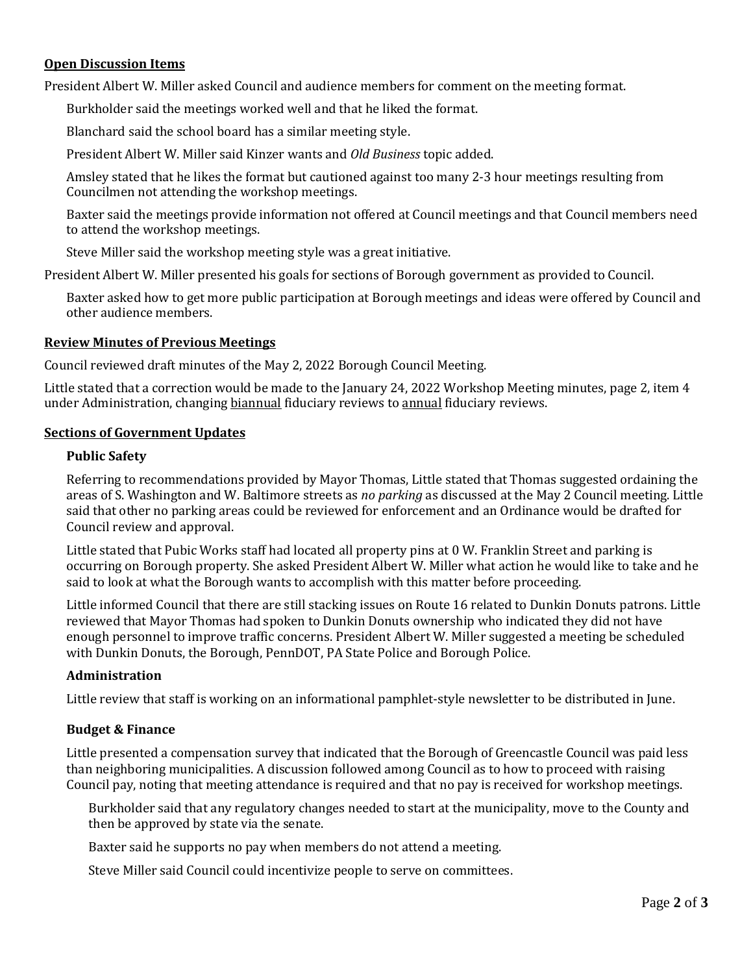# **Open Discussion Items**

President Albert W. Miller asked Council and audience members for comment on the meeting format.

Burkholder said the meetings worked well and that he liked the format.

Blanchard said the school board has a similar meeting style.

President Albert W. Miller said Kinzer wants and *Old Business* topic added.

Amsley stated that he likes the format but cautioned against too many 2-3 hour meetings resulting from Councilmen not attending the workshop meetings.

Baxter said the meetings provide information not offered at Council meetings and that Council members need to attend the workshop meetings.

Steve Miller said the workshop meeting style was a great initiative.

President Albert W. Miller presented his goals for sections of Borough government as provided to Council.

Baxter asked how to get more public participation at Borough meetings and ideas were offered by Council and other audience members.

## **Review Minutes of Previous Meetings**

Council reviewed draft minutes of the May 2, 2022 Borough Council Meeting.

Little stated that a correction would be made to the January 24, 2022 Workshop Meeting minutes, page 2, item 4 under Administration, changing biannual fiduciary reviews to annual fiduciary reviews.

## **Sections of Government Updates**

## **Public Safety**

Referring to recommendations provided by Mayor Thomas, Little stated that Thomas suggested ordaining the areas of S. Washington and W. Baltimore streets as *no parking* as discussed at the May 2 Council meeting. Little said that other no parking areas could be reviewed for enforcement and an Ordinance would be drafted for Council review and approval.

Little stated that Pubic Works staff had located all property pins at 0 W. Franklin Street and parking is occurring on Borough property. She asked President Albert W. Miller what action he would like to take and he said to look at what the Borough wants to accomplish with this matter before proceeding.

Little informed Council that there are still stacking issues on Route 16 related to Dunkin Donuts patrons. Little reviewed that Mayor Thomas had spoken to Dunkin Donuts ownership who indicated they did not have enough personnel to improve traffic concerns. President Albert W. Miller suggested a meeting be scheduled with Dunkin Donuts, the Borough, PennDOT, PA State Police and Borough Police.

# **Administration**

Little review that staff is working on an informational pamphlet-style newsletter to be distributed in June.

# **Budget & Finance**

Little presented a compensation survey that indicated that the Borough of Greencastle Council was paid less than neighboring municipalities. A discussion followed among Council as to how to proceed with raising Council pay, noting that meeting attendance is required and that no pay is received for workshop meetings.

Burkholder said that any regulatory changes needed to start at the municipality, move to the County and then be approved by state via the senate.

Baxter said he supports no pay when members do not attend a meeting.

Steve Miller said Council could incentivize people to serve on committees.